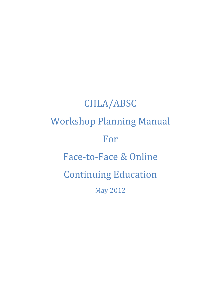# CHLA/ABSC Workshop Planning Manual For Face-to-Face & Online Continuing Education May 2012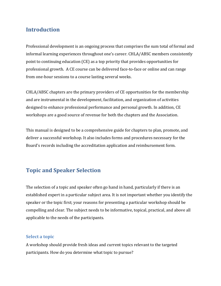# **Introduction**

Professional development is an ongoing process that comprises the sum total of formal and informal learning experiences throughout one's career. CHLA/ABSC members consistently point to continuing education (CE) as a top priority that provides opportunities for professional growth. A CE course can be delivered face-to-face or online and can range from one-hour sessions to a course lasting several weeks.

CHLA/ABSC chapters are the primary providers of CE opportunities for the membership and are instrumental in the development, facilitation, and organization of activities designed to enhance professional performance and personal growth. In addition, CE workshops are a good source of revenue for both the chapters and the Association.

This manual is designed to be a comprehensive guide for chapters to plan, promote, and deliver a successful workshop. It also includes forms and procedures necessary for the Board's records including the accreditation application and reimbursement form.

# **Topic and Speaker Selection**

The selection of a topic and speaker often go hand in hand, particularly if there is an established expert in a particular subject area. It is not important whether you identify the speaker or the topic first; your reasons for presenting a particular workshop should be compelling and clear. The subject needs to be informative, topical, practical, and above all applicable to the needs of the participants.

## **Select a topic**

A workshop should provide fresh ideas and current topics relevant to the targeted participants. How do you determine what topic to pursue?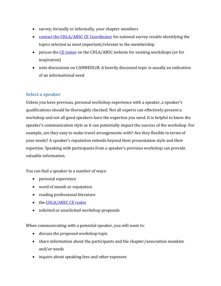- survey, formally or informally, your chapter members
- [contact the CHLA/ABSC CE Coordinator](mailto:ce@chla-absc.ca) for national survey results identifying the topics selected as most important/relevant to the membership
- peruse the [CE roster](http://www.chla-absc.ca/node/119) on the CHLA/ABSC website for existing workshops (or for inspiration)
- note discussions on CANMEDLIB. A heavily discussed topic is usually an indication of an informational need

## **Select a speaker**

Unless you have previous, personal workshop experience with a speaker, a speaker's qualifications should be thoroughly checked. Not all experts can effectively present a workshop and not all good speakers have the expertise you need. It is helpful to know the speaker's communication style as it can potentially impact the success of the workshop. For example, are they easy to make travel arrangements with? Are they flexible in terms of your needs? A speaker's reputation extends beyond their presentation style and their expertise. Speaking with participants from a speaker's previous workshop can provide valuable information.

You can find a speaker in a number of ways:

- personal experience
- word of mouth or reputation
- reading professional literature
- the [CHLA/ABSC CE roster](http://www.chla-absc.ca/node/119)
- solicited or unsolicited workshop proposals

When communicating with a potential speaker, you will want to:

- discuss the proposed workshop topic
- share information about the participants and the chapter/association mandate and/or needs
- inquire about speaking fees and other expenses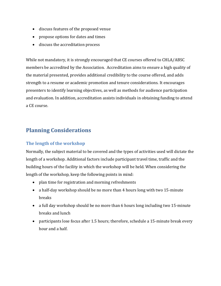- discuss features of the proposed venue
- propose options for dates and times
- discuss the accreditation process

While not mandatory, it is strongly encouraged that CE courses offered to CHLA/ABSC members be accredited by the Association. Accreditation aims to ensure a high quality of the material presented, provides additional credibility to the course offered, and adds strength to a resume or academic promotion and tenure considerations. It encourages presenters to identify learning objectives, as well as methods for audience participation and evaluation. In addition, accreditation assists individuals in obtaining funding to attend a CE course.

# **Planning Considerations**

## **The length of the workshop**

Normally, the subject material to be covered and the types of activities used will dictate the length of a workshop. Additional factors include participant travel time, traffic and the building hours of the facility in which the workshop will be held. When considering the length of the workshop, keep the following points in mind:

- plan time for registration and morning refreshments
- a half-day workshop should be no more than 4 hours long with two 15-minute breaks
- a full day workshop should be no more than 6 hours long including two 15-minute breaks and lunch
- participants lose focus after 1.5 hours; therefore, schedule a 15-minute break every hour and a half.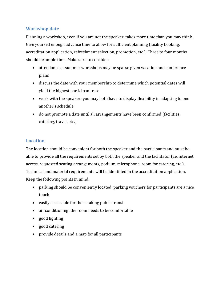## **Workshop date**

Planning a workshop, even if you are not the speaker, takes more time than you may think. Give yourself enough advance time to allow for sufficient planning (facility booking, accreditation application, refreshment selection, promotion, etc.). Three to four months should be ample time. Make sure to consider:

- attendance at summer workshops may be sparse given vacation and conference plans
- discuss the date with your membership to determine which potential dates will yield the highest participant rate
- work with the speaker; you may both have to display flexibility in adapting to one another's schedule
- do not promote a date until all arrangements have been confirmed (facilities, catering, travel, etc.)

## **Location**

The location should be convenient for both the speaker and the participants and must be able to provide all the requirements set by both the speaker and the facilitator (i.e. internet access, requested seating arrangements, podium, microphone, room for catering, etc.). Technical and material requirements will be identified in the accreditation application. Keep the following points in mind:

- parking should be conveniently located; parking vouchers for participants are a nice touch
- $\bullet$  easily accessible for those taking public transit
- air conditioning: the room needs to be comfortable
- good lighting
- good catering
- provide details and a map for all participants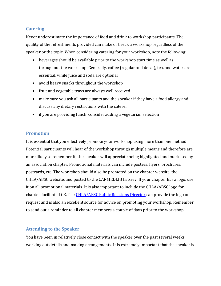## **Catering**

Never underestimate the importance of food and drink to workshop participants. The quality of the refreshments provided can make or break a workshop regardless of the speaker or the topic. When considering catering for your workshop, note the following:

- beverages should be available prior to the workshop start time as well as throughout the workshop. Generally, coffee (regular and decaf), tea, and water are essential, while juice and soda are optional
- avoid heavy snacks throughout the workshop
- fruit and vegetable trays are always well received
- make sure you ask all participants and the speaker if they have a food allergy and discuss any dietary restrictions with the caterer
- if you are providing lunch, consider adding a vegetarian selection

## **Promotion**

It is essential that you effectively promote your workshop using more than one method. Potential participants will hear of the workshop through multiple means and therefore are more likely to remember it; the speaker will appreciate being highlighted and marketed by an association chapter. Promotional materials can include posters, flyers, brochures, postcards, etc. The workshop should also be promoted on the chapter website, the CHLA/ABSC website, and posted to the CANMEDLIB listserv. If your chapter has a logo, use it on all promotional materials. It is also important to include the CHLA/ABSC logo for chapter-facilitated CE. The [CHLA/ABSC Public Relations Director](mailto:pr@chla-absc.ca) can provide the logo on request and is also an excellent source for advice on promoting your workshop. Remember to send out a reminder to all chapter members a couple of days prior to the workshop.

#### **Attending to the Speaker**

You have been in relatively close contact with the speaker over the past several weeks working out details and making arrangements. It is extremely important that the speaker is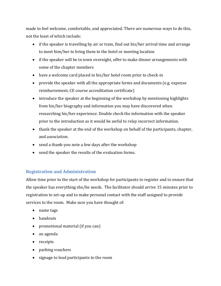made to feel welcome, comfortable, and appreciated. There are numerous ways to do this, not the least of which include:

- if the speaker is travelling by air or train, find out his/her arrival time and arrange to meet him/her to bring them to the hotel or meeting location
- if the speaker will be in town overnight, offer to make dinner arrangements with some of the chapter members
- have a welcome card placed in his/her hotel room prior to check-in
- provide the speaker with all the appropriate forms and documents (e.g. expense reimbursement, CE course accreditation certificate)
- introduce the speaker at the beginning of the workshop by mentioning highlights from his/her biography and information you may have discovered when researching his/her experience. Double check the information with the speaker prior to the introduction as it would be awful to relay incorrect information.
- thank the speaker at the end of the workshop on behalf of the participants, chapter, and association.
- send a thank-you note a few days after the workshop
- send the speaker the results of the evaluation forms.

## **Registration and Administration**

Allow time prior to the start of the workshop for participants to register and to ensure that the speaker has everything she/he needs. The facilitator should arrive 15 minutes prior to registration to set-up and to make personal contact with the staff assigned to provide services to the room. Make sure you have thought of:

- name tags
- handouts
- promotional material (if you can)
- an agenda
- receipts
- parking vouchers
- signage to lead participants to the room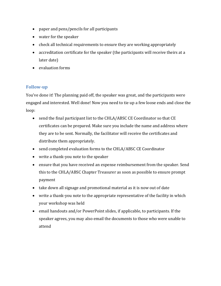- paper and pens/pencils for all participants
- water for the speaker
- check all technical requirements to ensure they are working appropriately
- accreditation certificate for the speaker (the participants will receive theirs at a later date)
- evaluation forms

## **Follow-up**

You've done it! The planning paid off, the speaker was great, and the participants were engaged and interested. Well done! Now you need to tie up a few loose ends and close the loop:

- send the final participant list to the CHLA/ABSC CE Coordinator so that CE certificates can be prepared. Make sure you include the name and address where they are to be sent. Normally, the facilitator will receive the certificates and distribute them appropriately.
- send completed evaluation forms to the CHLA/ABSC CE Coordinator
- write a thank-you note to the speaker
- ensure that you have received an expense reimbursement from the speaker. Send this to the CHLA/ABSC Chapter Treasurer as soon as possible to ensure prompt payment
- take down all signage and promotional material as it is now out of date
- write a thank-you note to the appropriate representative of the facility in which your workshop was held
- email handouts and/or PowerPoint slides, if applicable, to participants. If the speaker agrees, you may also email the documents to those who were unable to attend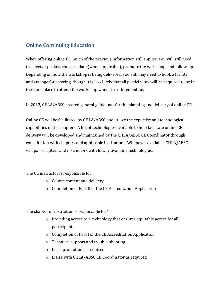# **Online Continuing Education**

When offering online CE, much of the previous information still applies. You will still need to select a speaker, choose a date (when applicable), promote the workshop, and follow-up. Depending on how the workshop is being delivered, you still may need to book a facility and arrange for catering, though it is less likely that all participants will be required to be in the same place to attend the workshop when it is offered online.

In 2012, CHLA/ABSC created general guidelines for the planning and delivery of online CE.

Online CE will be facilitated by CHLA/ABSC and utilize the expertise and technological capabilities of the chapters. A list of technologies available to help facilitate online CE delivery will be developed and maintained by the CHLA/ABSC CE Coordinator through consultation with chapters and applicable institutions. Whenever available, CHLA/ABSC will pair chapters and instructors with locally available technologies.

The CE instructor is responsible for:

- o Course content and delivery
- o Completion of Part II of the CE Accreditation Application

The chapter or institution is responsible for\*:

- o Providing access to a technology that ensures equitable access for all participants
- o Completion of Part I of the CE Accreditation Application
- o Technical support and trouble-shooting
- o Local promotion as required
- o Liaise with CHLA/ABSC CE Coordinator as required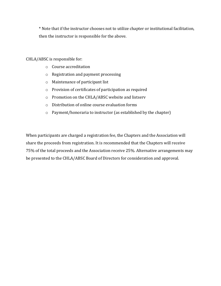\* Note that if the instructor chooses not to utilize chapter or institutional facilitation, then the instructor is responsible for the above.

CHLA/ABSC is responsible for:

- o Course accreditation
- o Registration and payment processing
- o Maintenance of participant list
- o Provision of certificates of participation as required
- o Promotion on the CHLA/ABSC website and listserv
- o Distribution of online course evaluation forms
- o Payment/honoraria to instructor (as established by the chapter)

When participants are charged a registration fee, the Chapters and the Association will share the proceeds from registration. It is recommended that the Chapters will receive 75% of the total proceeds and the Association receive 25%. Alternative arrangements may be presented to the CHLA/ABSC Board of Directors for consideration and approval.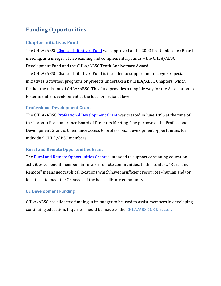# **Funding Opportunities**

## **Chapter Initiatives Fund**

The CHLA/ABSC [Chapter Initiatives Fund](http://www.chla-absc.ca/?q=en/node/122) was approved at the 2002 Pre-Conference Board meeting, as a merger of two existing and complementary funds – the CHLA/ABSC Development Fund and the CHLA/ABSC Tenth Anniversary Award. The CHLA/ABSC Chapter Initiatives Fund is intended to support and recognize special initiatives, activities, programs or projects undertaken by CHLA/ABSC Chapters, which further the mission of CHLA/ABSC. This fund provides a tangible way for the Association to foster member development at the local or regional level.

## **Professional Development Grant**

The CHLA/ABSC [Professional Development Grant](http://www.chla-absc.ca/?q=en/node/126) was created in June 1996 at the time of the Toronto Pre-conference Board of Directors Meeting. The purpose of the Professional Development Grant is to enhance access to professional development opportunities for individual CHLA/ABSC members.

## **Rural and Remote Opportunities Grant**

The [Rural and Remote Opportunities Grant](http://www.chla-absc.ca/?q=en/node/127) is intended to support continuing education activities to benefit members in rural or remote communities. In this context, "Rural and Remote" means geographical locations which have insufficient resources - human and/or facilities - to meet the CE needs of the health library community.

## **CE Development Funding**

CHLA/ABSC has allocated funding in its budget to be used to assist members in developing continuing education. Inquiries should be made to the [CHLA/ABSC CE Director.](mailto:ce@chla-absc.ca?subject=CE%20Development%20Funding)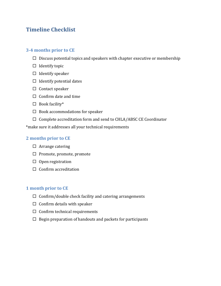# **Timeline Checklist**

## **3-4 months prior to CE**

- $\square$  Discuss potential topics and speakers with chapter executive or membership
- $\Box$  Identify topic
- $\Box$  Identify speaker
- $\Box$  Identify potential dates
- $\Box$  Contact speaker
- $\Box$  Confirm date and time
- $\Box$  Book facility\*
- $\Box$  Book accommodations for speaker
- $\square$  Complete accreditation form and send to CHLA/ABSC CE Coordinator

\*make sure it addresses all your technical requirements

## **2 months prior to CE**

- $\Box$  Arrange catering
- $\Box$  Promote, promote, promote
- $\Box$  Open registration
- $\Box$  Confirm accreditation

## **1 month prior to CE**

- $\Box$  Confirm/double check facility and catering arrangements
- $\Box$  Confirm details with speaker
- $\Box$  Confirm technical requirements
- $\Box$  Begin preparation of handouts and packets for participants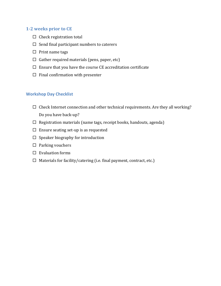#### **1-2 weeks prior to CE**

- $\Box$  Check registration total
- $\Box$  Send final participant numbers to caterers
- $\Box$  Print name tags
- $\Box$  Gather required materials (pens, paper, etc)
- $\square$  Ensure that you have the course CE accreditation certificate
- $\Box$  Final confirmation with presenter

#### **Workshop Day Checklist**

- $\Box$  Check Internet connection and other technical requirements. Are they all working? Do you have back-up?
- $\Box$  Registration materials (name tags, receipt books, handouts, agenda)
- $\square$  Ensure seating set-up is as requested
- $\square$  Speaker biography for introduction
- $\Box$  Parking vouchers
- $\square$  Evaluation forms
- $\Box$  Materials for facility/catering (i.e. final payment, contract, etc.)